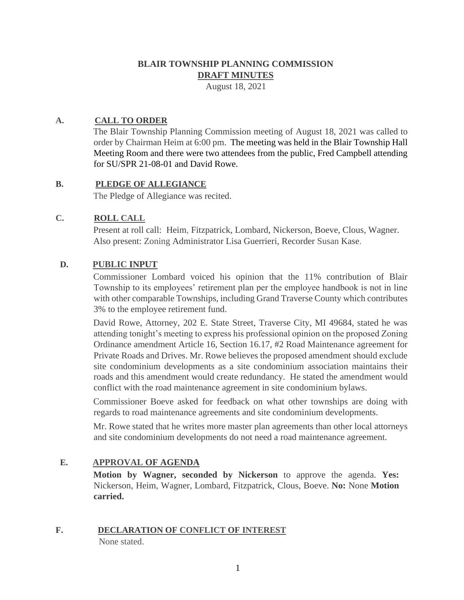## **BLAIR TOWNSHIP PLANNING COMMISSION DRAFT MINUTES**

August 18, 2021

## **A. CALL TO ORDER**

The Blair Township Planning Commission meeting of August 18, 2021 was called to order by Chairman Heim at 6:00 pm. The meeting was held in the Blair Township Hall Meeting Room and there were two attendees from the public, Fred Campbell attending for SU/SPR 21-08-01 and David Rowe.

## **B. PLEDGE OF ALLEGIANCE**

The Pledge of Allegiance was recited.

## **C. ROLL CALL**

Present at roll call: Heim, Fitzpatrick, Lombard, Nickerson, Boeve, Clous, Wagner. Also present: Zoning Administrator Lisa Guerrieri, Recorder Susan Kase.

## **D. PUBLIC INPUT**

Commissioner Lombard voiced his opinion that the 11% contribution of Blair Township to its employees' retirement plan per the employee handbook is not in line with other comparable Townships, including Grand Traverse County which contributes 3% to the employee retirement fund.

David Rowe, Attorney, 202 E. State Street, Traverse City, MI 49684, stated he was attending tonight's meeting to express his professional opinion on the proposed Zoning Ordinance amendment Article 16, Section 16.17, #2 Road Maintenance agreement for Private Roads and Drives. Mr. Rowe believes the proposed amendment should exclude site condominium developments as a site condominium association maintains their roads and this amendment would create redundancy. He stated the amendment would conflict with the road maintenance agreement in site condominium bylaws.

Commissioner Boeve asked for feedback on what other townships are doing with regards to road maintenance agreements and site condominium developments.

Mr. Rowe stated that he writes more master plan agreements than other local attorneys and site condominium developments do not need a road maintenance agreement.

## **E. APPROVAL OF AGENDA**

**Motion by Wagner, seconded by Nickerson** to approve the agenda. **Yes:**  Nickerson, Heim, Wagner, Lombard, Fitzpatrick, Clous, Boeve. **No:** None **Motion carried.**

# **F. DECLARATION OF CONFLICT OF INTEREST**

None stated.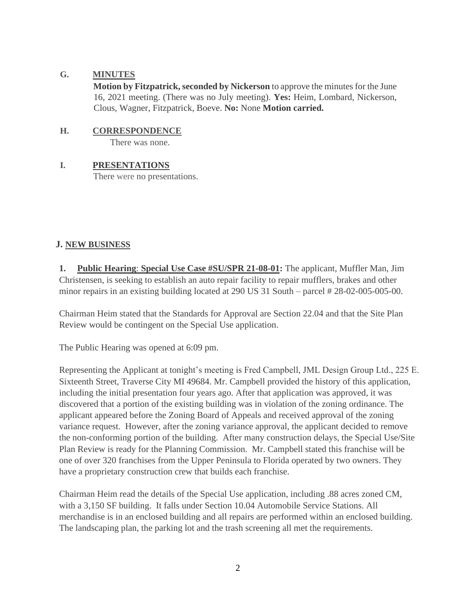#### **G. MINUTES**

**Motion by Fitzpatrick, seconded by Nickerson** to approve the minutes for the June 16, 2021 meeting. (There was no July meeting). **Yes:** Heim, Lombard, Nickerson, Clous, Wagner, Fitzpatrick, Boeve. **No:** None **Motion carried.**

#### **H. CORRESPONDENCE**

There was none.

## **I. PRESENTATIONS**

There were no presentations.

## **J. NEW BUSINESS**

**1. Public Hearing**: **Special Use Case #SU/SPR 21-08-01:** The applicant, Muffler Man, Jim Christensen, is seeking to establish an auto repair facility to repair mufflers, brakes and other minor repairs in an existing building located at 290 US 31 South – parcel # 28-02-005-005-00.

Chairman Heim stated that the Standards for Approval are Section 22.04 and that the Site Plan Review would be contingent on the Special Use application.

The Public Hearing was opened at 6:09 pm.

Representing the Applicant at tonight's meeting is Fred Campbell, JML Design Group Ltd., 225 E. Sixteenth Street, Traverse City MI 49684. Mr. Campbell provided the history of this application, including the initial presentation four years ago. After that application was approved, it was discovered that a portion of the existing building was in violation of the zoning ordinance. The applicant appeared before the Zoning Board of Appeals and received approval of the zoning variance request. However, after the zoning variance approval, the applicant decided to remove the non-conforming portion of the building. After many construction delays, the Special Use/Site Plan Review is ready for the Planning Commission. Mr. Campbell stated this franchise will be one of over 320 franchises from the Upper Peninsula to Florida operated by two owners. They have a proprietary construction crew that builds each franchise.

Chairman Heim read the details of the Special Use application, including .88 acres zoned CM, with a 3,150 SF building. It falls under Section 10.04 Automobile Service Stations. All merchandise is in an enclosed building and all repairs are performed within an enclosed building. The landscaping plan, the parking lot and the trash screening all met the requirements.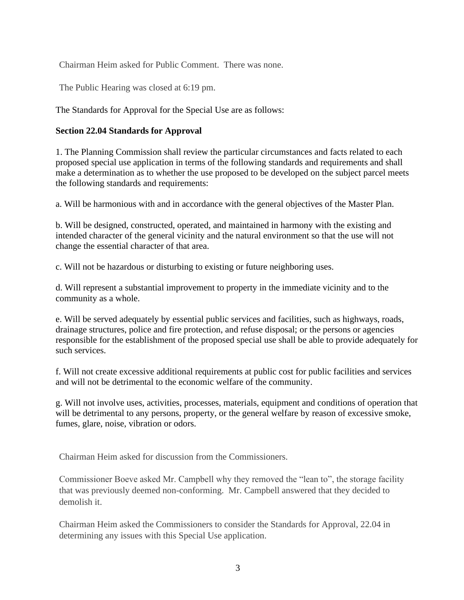Chairman Heim asked for Public Comment. There was none.

The Public Hearing was closed at 6:19 pm.

The Standards for Approval for the Special Use are as follows:

#### **Section 22.04 Standards for Approval**

1. The Planning Commission shall review the particular circumstances and facts related to each proposed special use application in terms of the following standards and requirements and shall make a determination as to whether the use proposed to be developed on the subject parcel meets the following standards and requirements:

a. Will be harmonious with and in accordance with the general objectives of the Master Plan.

b. Will be designed, constructed, operated, and maintained in harmony with the existing and intended character of the general vicinity and the natural environment so that the use will not change the essential character of that area.

c. Will not be hazardous or disturbing to existing or future neighboring uses.

d. Will represent a substantial improvement to property in the immediate vicinity and to the community as a whole.

e. Will be served adequately by essential public services and facilities, such as highways, roads, drainage structures, police and fire protection, and refuse disposal; or the persons or agencies responsible for the establishment of the proposed special use shall be able to provide adequately for such services.

f. Will not create excessive additional requirements at public cost for public facilities and services and will not be detrimental to the economic welfare of the community.

g. Will not involve uses, activities, processes, materials, equipment and conditions of operation that will be detrimental to any persons, property, or the general welfare by reason of excessive smoke, fumes, glare, noise, vibration or odors.

Chairman Heim asked for discussion from the Commissioners.

Commissioner Boeve asked Mr. Campbell why they removed the "lean to", the storage facility that was previously deemed non-conforming. Mr. Campbell answered that they decided to demolish it.

Chairman Heim asked the Commissioners to consider the Standards for Approval, 22.04 in determining any issues with this Special Use application.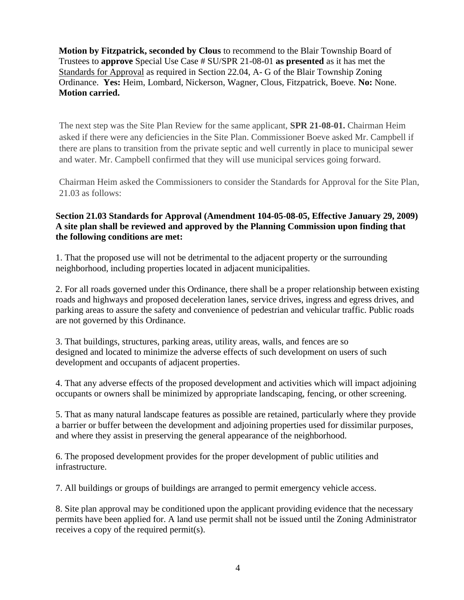**Motion by Fitzpatrick, seconded by Clous** to recommend to the Blair Township Board of Trustees to **approve** Special Use Case # SU/SPR 21-08-01 **as presented** as it has met the Standards for Approval as required in Section 22.04, A- G of the Blair Township Zoning Ordinance. **Yes:** Heim, Lombard, Nickerson, Wagner, Clous, Fitzpatrick, Boeve. **No:** None. **Motion carried.** 

The next step was the Site Plan Review for the same applicant, **SPR 21-08-01.** Chairman Heim asked if there were any deficiencies in the Site Plan. Commissioner Boeve asked Mr. Campbell if there are plans to transition from the private septic and well currently in place to municipal sewer and water. Mr. Campbell confirmed that they will use municipal services going forward.

Chairman Heim asked the Commissioners to consider the Standards for Approval for the Site Plan, 21.03 as follows:

## **Section 21.03 Standards for Approval (Amendment 104-05-08-05, Effective January 29, 2009) A site plan shall be reviewed and approved by the Planning Commission upon finding that the following conditions are met:**

1. That the proposed use will not be detrimental to the adjacent property or the surrounding neighborhood, including properties located in adjacent municipalities.

2. For all roads governed under this Ordinance, there shall be a proper relationship between existing roads and highways and proposed deceleration lanes, service drives, ingress and egress drives, and parking areas to assure the safety and convenience of pedestrian and vehicular traffic. Public roads are not governed by this Ordinance.

3. That buildings, structures, parking areas, utility areas, walls, and fences are so designed and located to minimize the adverse effects of such development on users of such development and occupants of adjacent properties.

4. That any adverse effects of the proposed development and activities which will impact adjoining occupants or owners shall be minimized by appropriate landscaping, fencing, or other screening.

5. That as many natural landscape features as possible are retained, particularly where they provide a barrier or buffer between the development and adjoining properties used for dissimilar purposes, and where they assist in preserving the general appearance of the neighborhood.

6. The proposed development provides for the proper development of public utilities and infrastructure.

7. All buildings or groups of buildings are arranged to permit emergency vehicle access.

8. Site plan approval may be conditioned upon the applicant providing evidence that the necessary permits have been applied for. A land use permit shall not be issued until the Zoning Administrator receives a copy of the required permit(s).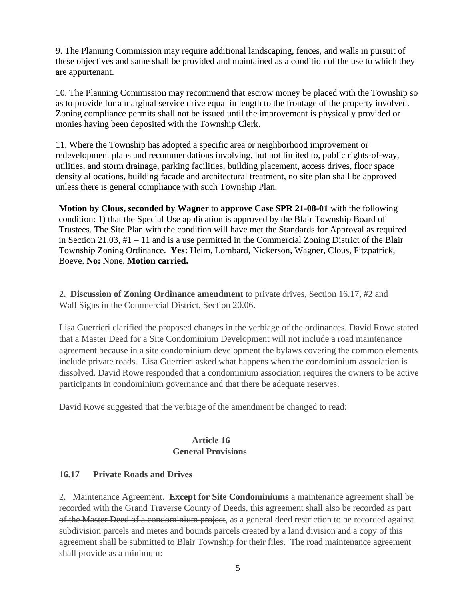9. The Planning Commission may require additional landscaping, fences, and walls in pursuit of these objectives and same shall be provided and maintained as a condition of the use to which they are appurtenant.

10. The Planning Commission may recommend that escrow money be placed with the Township so as to provide for a marginal service drive equal in length to the frontage of the property involved. Zoning compliance permits shall not be issued until the improvement is physically provided or monies having been deposited with the Township Clerk.

11. Where the Township has adopted a specific area or neighborhood improvement or redevelopment plans and recommendations involving, but not limited to, public rights-of-way, utilities, and storm drainage, parking facilities, building placement, access drives, floor space density allocations, building facade and architectural treatment, no site plan shall be approved unless there is general compliance with such Township Plan.

**Motion by Clous, seconded by Wagner** to **approve Case SPR 21-08-01** with the following condition: 1) that the Special Use application is approved by the Blair Township Board of Trustees. The Site Plan with the condition will have met the Standards for Approval as required in Section 21.03, #1 – 11 and is a use permitted in the Commercial Zoning District of the Blair Township Zoning Ordinance. **Yes:** Heim, Lombard, Nickerson, Wagner, Clous, Fitzpatrick, Boeve. **No:** None. **Motion carried.** 

**2. Discussion of Zoning Ordinance amendment** to private drives, Section 16.17, #2 and Wall Signs in the Commercial District, Section 20.06.

Lisa Guerrieri clarified the proposed changes in the verbiage of the ordinances. David Rowe stated that a Master Deed for a Site Condominium Development will not include a road maintenance agreement because in a site condominium development the bylaws covering the common elements include private roads. Lisa Guerrieri asked what happens when the condominium association is dissolved. David Rowe responded that a condominium association requires the owners to be active participants in condominium governance and that there be adequate reserves.

David Rowe suggested that the verbiage of the amendment be changed to read:

## **Article 16 General Provisions**

## **16.17 Private Roads and Drives**

2. Maintenance Agreement. **Except for Site Condominiums** a maintenance agreement shall be recorded with the Grand Traverse County of Deeds, this agreement shall also be recorded as part of the Master Deed of a condominium project, as a general deed restriction to be recorded against subdivision parcels and metes and bounds parcels created by a land division and a copy of this agreement shall be submitted to Blair Township for their files. The road maintenance agreement shall provide as a minimum: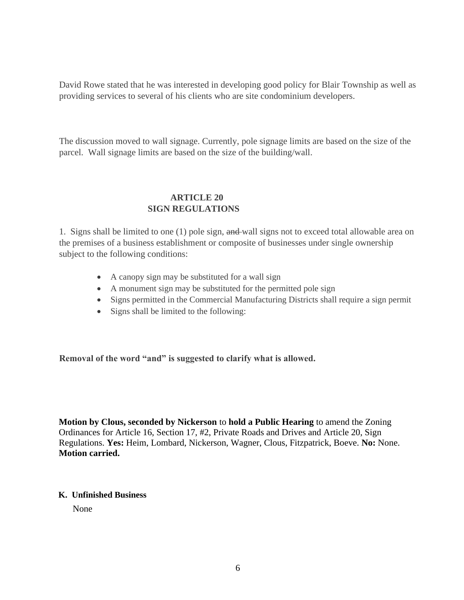David Rowe stated that he was interested in developing good policy for Blair Township as well as providing services to several of his clients who are site condominium developers.

The discussion moved to wall signage. Currently, pole signage limits are based on the size of the parcel. Wall signage limits are based on the size of the building/wall.

#### **ARTICLE 20 SIGN REGULATIONS**

1. Signs shall be limited to one (1) pole sign, and wall signs not to exceed total allowable area on the premises of a business establishment or composite of businesses under single ownership subject to the following conditions:

- A canopy sign may be substituted for a wall sign
- A monument sign may be substituted for the permitted pole sign
- Signs permitted in the Commercial Manufacturing Districts shall require a sign permit
- Signs shall be limited to the following:

**Removal of the word "and" is suggested to clarify what is allowed.** 

**Motion by Clous, seconded by Nickerson** to **hold a Public Hearing** to amend the Zoning Ordinances for Article 16, Section 17, #2, Private Roads and Drives and Article 20, Sign Regulations. **Yes:** Heim, Lombard, Nickerson, Wagner, Clous, Fitzpatrick, Boeve. **No:** None. **Motion carried.** 

#### **K. Unfinished Business**

None